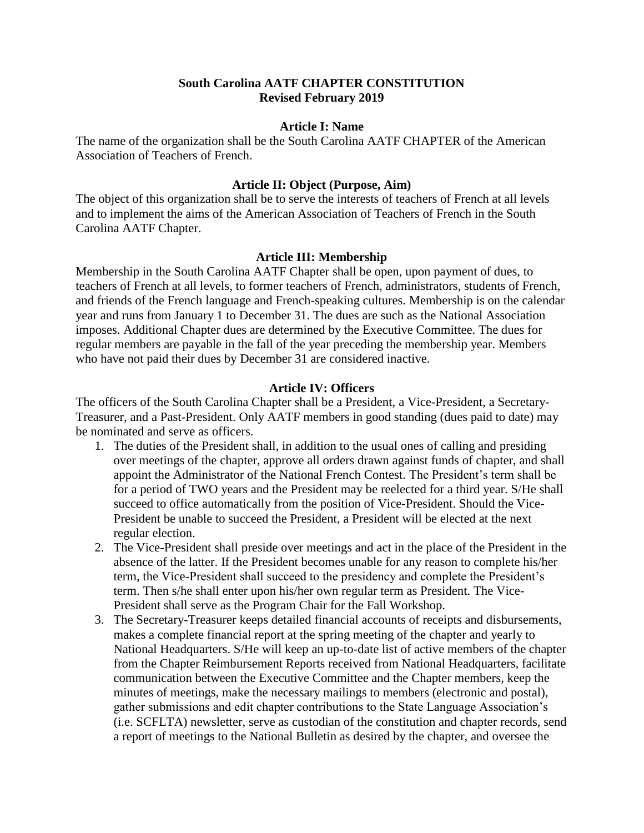## **South Carolina AATF CHAPTER CONSTITUTION Revised February 2019**

#### **Article I: Name**

The name of the organization shall be the South Carolina AATF CHAPTER of the American Association of Teachers of French.

## **Article II: Object (Purpose, Aim)**

The object of this organization shall be to serve the interests of teachers of French at all levels and to implement the aims of the American Association of Teachers of French in the South Carolina AATF Chapter.

### **Article III: Membership**

Membership in the South Carolina AATF Chapter shall be open, upon payment of dues, to teachers of French at all levels, to former teachers of French, administrators, students of French, and friends of the French language and French-speaking cultures. Membership is on the calendar year and runs from January 1 to December 31. The dues are such as the National Association imposes. Additional Chapter dues are determined by the Executive Committee. The dues for regular members are payable in the fall of the year preceding the membership year. Members who have not paid their dues by December 31 are considered inactive.

### **Article IV: Officers**

The officers of the South Carolina Chapter shall be a President, a Vice-President, a Secretary-Treasurer, and a Past-President. Only AATF members in good standing (dues paid to date) may be nominated and serve as officers.

- 1. The duties of the President shall, in addition to the usual ones of calling and presiding over meetings of the chapter, approve all orders drawn against funds of chapter, and shall appoint the Administrator of the National French Contest. The President's term shall be for a period of TWO years and the President may be reelected for a third year. S/He shall succeed to office automatically from the position of Vice-President. Should the Vice-President be unable to succeed the President, a President will be elected at the next regular election.
- 2. The Vice-President shall preside over meetings and act in the place of the President in the absence of the latter. If the President becomes unable for any reason to complete his/her term, the Vice-President shall succeed to the presidency and complete the President's term. Then s/he shall enter upon his/her own regular term as President. The Vice-President shall serve as the Program Chair for the Fall Workshop.
- 3. The Secretary-Treasurer keeps detailed financial accounts of receipts and disbursements, makes a complete financial report at the spring meeting of the chapter and yearly to National Headquarters. S/He will keep an up-to-date list of active members of the chapter from the Chapter Reimbursement Reports received from National Headquarters, facilitate communication between the Executive Committee and the Chapter members, keep the minutes of meetings, make the necessary mailings to members (electronic and postal), gather submissions and edit chapter contributions to the State Language Association's (i.e. SCFLTA) newsletter, serve as custodian of the constitution and chapter records, send a report of meetings to the National Bulletin as desired by the chapter, and oversee the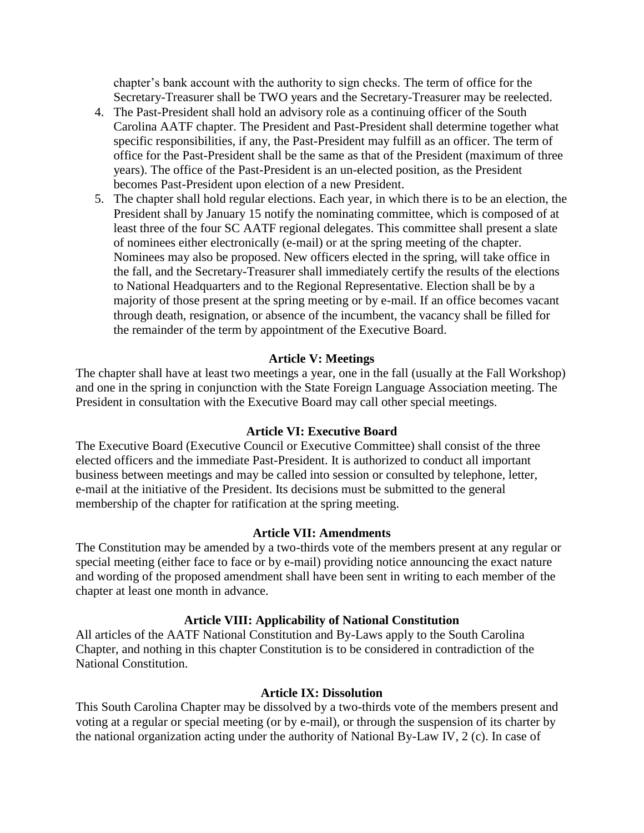chapter's bank account with the authority to sign checks. The term of office for the Secretary-Treasurer shall be TWO years and the Secretary-Treasurer may be reelected.

- 4. The Past-President shall hold an advisory role as a continuing officer of the South Carolina AATF chapter. The President and Past-President shall determine together what specific responsibilities, if any, the Past-President may fulfill as an officer. The term of office for the Past-President shall be the same as that of the President (maximum of three years). The office of the Past-President is an un-elected position, as the President becomes Past-President upon election of a new President.
- 5. The chapter shall hold regular elections. Each year, in which there is to be an election, the President shall by January 15 notify the nominating committee, which is composed of at least three of the four SC AATF regional delegates. This committee shall present a slate of nominees either electronically (e-mail) or at the spring meeting of the chapter. Nominees may also be proposed. New officers elected in the spring, will take office in the fall, and the Secretary-Treasurer shall immediately certify the results of the elections to National Headquarters and to the Regional Representative. Election shall be by a majority of those present at the spring meeting or by e-mail. If an office becomes vacant through death, resignation, or absence of the incumbent, the vacancy shall be filled for the remainder of the term by appointment of the Executive Board.

# **Article V: Meetings**

The chapter shall have at least two meetings a year, one in the fall (usually at the Fall Workshop) and one in the spring in conjunction with the State Foreign Language Association meeting. The President in consultation with the Executive Board may call other special meetings.

### **Article VI: Executive Board**

The Executive Board (Executive Council or Executive Committee) shall consist of the three elected officers and the immediate Past-President. It is authorized to conduct all important business between meetings and may be called into session or consulted by telephone, letter, e-mail at the initiative of the President. Its decisions must be submitted to the general membership of the chapter for ratification at the spring meeting.

### **Article VII: Amendments**

The Constitution may be amended by a two-thirds vote of the members present at any regular or special meeting (either face to face or by e-mail) providing notice announcing the exact nature and wording of the proposed amendment shall have been sent in writing to each member of the chapter at least one month in advance.

## **Article VIII: Applicability of National Constitution**

All articles of the AATF National Constitution and By-Laws apply to the South Carolina Chapter, and nothing in this chapter Constitution is to be considered in contradiction of the National Constitution.

### **Article IX: Dissolution**

This South Carolina Chapter may be dissolved by a two-thirds vote of the members present and voting at a regular or special meeting (or by e-mail), or through the suspension of its charter by the national organization acting under the authority of National By-Law IV, 2 (c). In case of